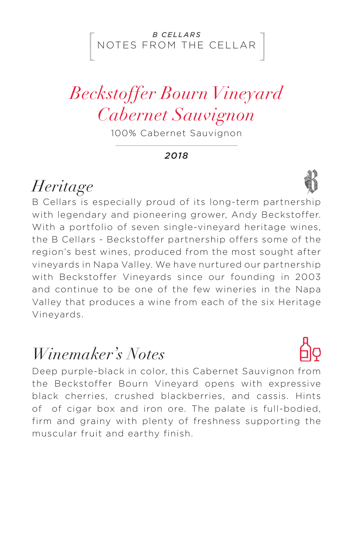#### NOTES FROM THE CELLAR *B CELLARS*

# *Beckstoffer Bourn Vineyard Cabernet Sauvignon*

100% Cabernet Sauvignon

*2018*

### *Heritage*

B Cellars is especially proud of its long-term partnership with legendary and pioneering grower, Andy Beckstoffer. With a portfolio of seven single-vineyard heritage wines, the B Cellars - Beckstoffer partnership offers some of the region's best wines, produced from the most sought after vineyards in Napa Valley. We have nurtured our partnership with Beckstoffer Vineyards since our founding in 2003 and continue to be one of the few wineries in the Napa Valley that produces a wine from each of the six Heritage Vineyards.

### *Winemaker's Notes*

Deep purple-black in color, this Cabernet Sauvignon from the Beckstoffer Bourn Vineyard opens with expressive black cherries, crushed blackberries, and cassis. Hints of of cigar box and iron ore. The palate is full-bodied, firm and grainy with plenty of freshness supporting the muscular fruit and earthy finish.